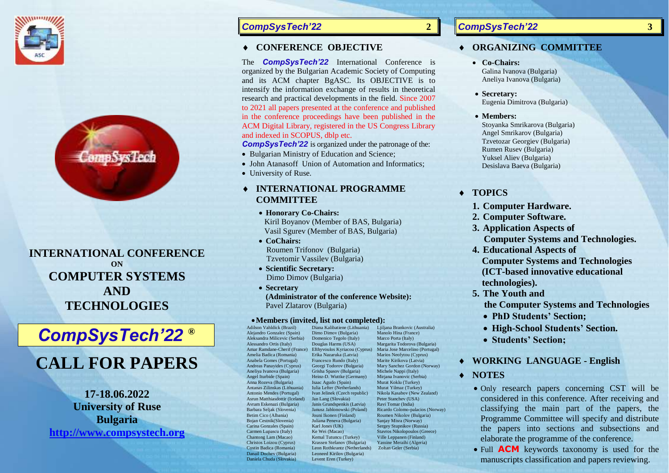



**INTERNATIONAL CONFERENCE ON COMPUTER SYSTEMS AND TECHNOLOGIES**

# *CompSysTech'22 ®*

# **CALL FOR PAPERS**

**17-18.06.2022 University of Ruse Bulgaria [http://www.compsystech.org](http://www.compsystech.org/)**

# **CompSysTech'22** 2

#### **CONFERENCE OBJECTIVE**

The *CompSysTech'22* International Conference is organized by the Bulgarian Academic Society of Computing and its ACM chapter BgASC. Its OBJECTIVE is to intensify the information exchange of results in theoretical research and practical developments in the field. Since 2007 to 2021 all papers presented at the conference and published in the conference proceedings have been published in the ACM Digital Library, registered in the US Congress Library and indexed in SCOPUS, dblp etc.

**CompSysTech'22** is organized under the patronage of the:

- Bulgarian Ministry of Education and Science;
- John Atanasoff Union of Automation and Informatics:
- University of Ruse.

# **INTERNATIONAL PROGRAMME COMMITTEE**

- **Honorary Co-Chairs:** Kiril Boyanov (Member of BAS, Bulgaria) Vasil Sgurev (Member of BAS, Bulgaria)
- **CoChairs:** Roumen Trifonov (Bulgaria) Tzvetomir Vassilev (Bulgaria)
- **Scientific Secretary:** Dimo Dimov (Bulgaria)
- **Secretary (Administrator of the conference Website):** Pavel Zlatarov (Bulgaria)

#### **Members (invited, list not completed):** Diana Kalibatiene (Lithuania)

Adilson Vahldick (Brazil) Alejandro Gonzalez (Spain) Aleksandra Milicevic (Serbia) Alessandro Ortis (Italy) Amelia Badica (Romania) Anabela Gomes (Portugal) Andreas Panayides (Cyprus) Aneliya Ivanova (Bulgaria) Angel Iturbide (Spain) Anna Rozeva (Bulgaria) Antanas Zilinskas (Lithuania) Antonio Mendes (Portugal) Asrun Matthiasdottir (Iceland) Jan Lang (Slovakia) Avram Eskenazi (Bulgaria) Barbara Seljak (Slovenia) Betim Cico (Albania) Bojan Cestnik(Slovenia) Carina Gonzales (Spain) Carmen Lupascu (Italy) Chantong Lam (Macao) Christos Loizou (Cyprus) Costin Badica (Romania) Danail Dochev (Bulgaria) Daniela Chuda (Slovakia)

Amar Ramdane-Cherif (France) Efthyvoulos Kyriacou (Cyprus) Maria Jose Marcelino (Portugal) Dimo Dimov (Bulgaria) Domenico Tegolo (Italy) Douglas Harms (USA) Erika Nazaruka (Latvia) Francesco Rundo (Italy) Georgi Todorov (Bulgaria) Grisha Spasov (Bulgaria) Heinz-D. Wuttke (Germany) Isaac Agudo (Spain) Iulia Lefter (Netherlands) Ivan Jelinek (Czech republic) Janis Grundspenkis (Latvia) Janusz Jablonowski (Poland) Jouni Ikonen (Finland) Juliana Peneva (Bulgaria) Karl Jones (UK) Ke Wei (Macao) Kemal Tutuncu (Turkey) Krassen Stefanov (Bulgaria) Leon Rothkrantz (Netherlands) Zoltan Geler (Serbia) Leoneed Kirilov (Bulgaria) Levent Eren (Turkey) Ljiljana Brankovic (Australia)

Manolo Hina (France) Marco Porta (Italy) Margarita Todorova (Bulgaria) Marios Neofytou (Cyprus) Marite Kirikova (Latvia) Mary Sanchez Gordon (Norway) Michele Nappi (Italy) Mirjana Ivanovic (Serbia) Murat Koklu (Turkey) Murat Yilmaz (Turkey) Nikola Kasabov (New Zealand) Peter Stanchev (USA) Ravi Tomar (India) Ricardo Colomo-palacios (Norway) Roumen Nikolov (Bulgaria) Sanjay Misra (Norway) Sergey Stupnikov (Russia) Stavros Nikolopoulos (Greece) Ville Leppanen (Finland) Yassine Meraihi (Algeria)

# **CompSysTech'22** 3

# **ORGANIZING COMMITTEE**

- **Co-Chairs:** Galina Ivanova (Bulgaria) Aneliya Ivanova (Bulgaria)
- **Secretary:** Eugenia Dimitrova (Bulgaria)
- **Members:**

Stoyanka Smrikarova (Bulgaria) Angel Smrikarov (Bulgaria) Tzvetozar Georgiev (Bulgaria) Rumen Rusev (Bulgaria) Yuksel Aliev (Bulgaria) Desislava Baeva (Bulgaria)

# **TOPICS**

- **1. Computer Hardware.**
- **2. Computer Software.**
- **3. Application Aspects of Computer Systems and Technologies.**
- **4. Educational Aspects of Computer Systems and Technologies (ICT-based innovative educational technologies).**
- **5. The Youth and the Computer Systems and Technologies**
	- **PhD Students' Section;**
	- **High-School Students' Section.**
	- **Students' Section;**

### **WORKING LANGUAGE - English**

- **NOTES**
	- Only research papers concerning CST will be considered in this conference. After receiving and classifying the main part of the papers, the Programme Committee will specify and distribute the papers into sections and subsections and elaborate the programme of the conference.
	- Full **ACM** keywords taxonomy is used for the manuscripts classification and papers reviewing.